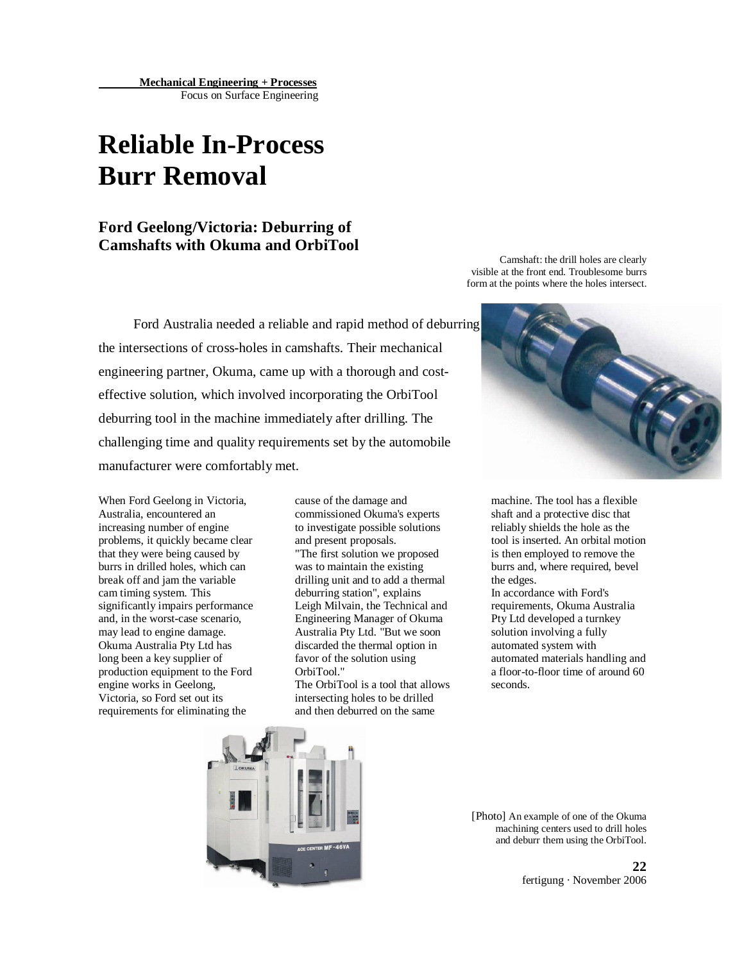# **Reliable In-Process Burr Removal**

# **Ford Geelong/Victoria: Deburring of Camshafts with Okuma and OrbiTool**

Ford Australia needed a reliable and rapid method of deburring the intersections of cross-holes in camshafts. Their mechanical engineering partner, Okuma, came up with a thorough and costeffective solution, which involved incorporating the OrbiTool deburring tool in the machine immediately after drilling. The challenging time and quality requirements set by the automobile manufacturer were comfortably met.

When Ford Geelong in Victoria, Australia, encountered an increasing number of engine problems, it quickly became clear that they were being caused by burrs in drilled holes, which can break off and jam the variable cam timing system. This significantly impairs performance and, in the worst-case scenario, may lead to engine damage. Okuma Australia Pty Ltd has long been a key supplier of production equipment to the Ford engine works in Geelong, Victoria, so Ford set out its requirements for eliminating the

cause of the damage and commissioned Okuma's experts to investigate possible solutions and present proposals. "The first solution we proposed was to maintain the existing drilling unit and to add a thermal deburring station", explains Leigh Milvain, the Technical and Engineering Manager of Okuma Australia Pty Ltd. "But we soon discarded the thermal option in favor of the solution using OrbiTool."

The OrbiTool is a tool that allows intersecting holes to be drilled and then deburred on the same

Camshaft: the drill holes are clearly visible at the front end. Troublesome burrs form at the points where the holes intersect.



machine. The tool has a flexible shaft and a protective disc that reliably shields the hole as the tool is inserted. An orbital motion is then employed to remove the burrs and, where required, bevel the edges.

In accordance with Ford's requirements, Okuma Australia Pty Ltd developed a turnkey solution involving a fully automated system with automated materials handling and a floor-to-floor time of around 60 seconds.



[Photo] An example of one of the Okuma machining centers used to drill holes and deburr them using the OrbiTool.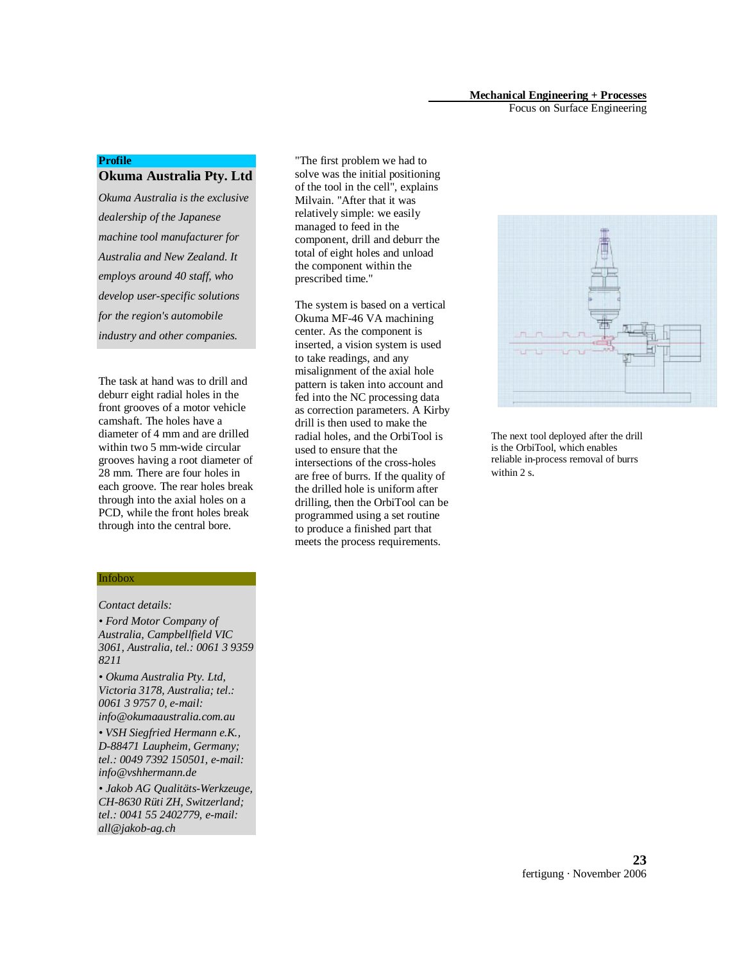### **Mechanical Engineering + Processes**

Focus on Surface Engineering

### **Profile**

### **Okuma Australia Pty. Ltd**

*Okuma Australia is the exclusive dealership of the Japanese machine tool manufacturer for Australia and New Zealand. It employs around 40 staff, who develop user-specific solutions for the region's automobile industry and other companies.*

The task at hand was to drill and deburr eight radial holes in the front grooves of a motor vehicle camshaft. The holes have a diameter of 4 mm and are drilled within two 5 mm-wide circular grooves having a root diameter of 28 mm. There are four holes in each groove. The rear holes break through into the axial holes on a PCD, while the front holes break through into the central bore.

"The first problem we had to solve was the initial positioning of the tool in the cell", explains Milvain. "After that it was relatively simple: we easily managed to feed in the component, drill and deburr the total of eight holes and unload the component within the prescribed time."

The system is based on a vertical Okuma MF-46 VA machining center. As the component is inserted, a vision system is used to take readings, and any misalignment of the axial hole pattern is taken into account and fed into the NC processing data as correction parameters. A Kirby drill is then used to make the radial holes, and the OrbiTool is used to ensure that the intersections of the cross-holes are free of burrs. If the quality of the drilled hole is uniform after drilling, then the OrbiTool can be programmed using a set routine to produce a finished part that meets the process requirements.



The next tool deployed after the drill is the OrbiTool, which enables reliable in-process removal of burrs within 2 s.

#### Infobox

### *Contact details:*

*• Ford Motor Company of Australia, Campbellfield VIC 3061, Australia, tel.: 0061 3 9359 8211* 

*• Okuma Australia Pty. Ltd, Victoria 3178, Australia; tel.: 0061 3 9757 0, e-mail: info@okumaaustralia.com.au* 

*• VSH Siegfried Hermann e.K., D-88471 Laupheim, Germany; tel.: 0049 7392 150501, e-mail: info@vshhermann.de* 

*• Jakob AG Qualitäts-Werkzeuge, CH-8630 Rüti ZH, Switzerland; tel.: 0041 55 2402779, e-mail: all@jakob-ag.ch*